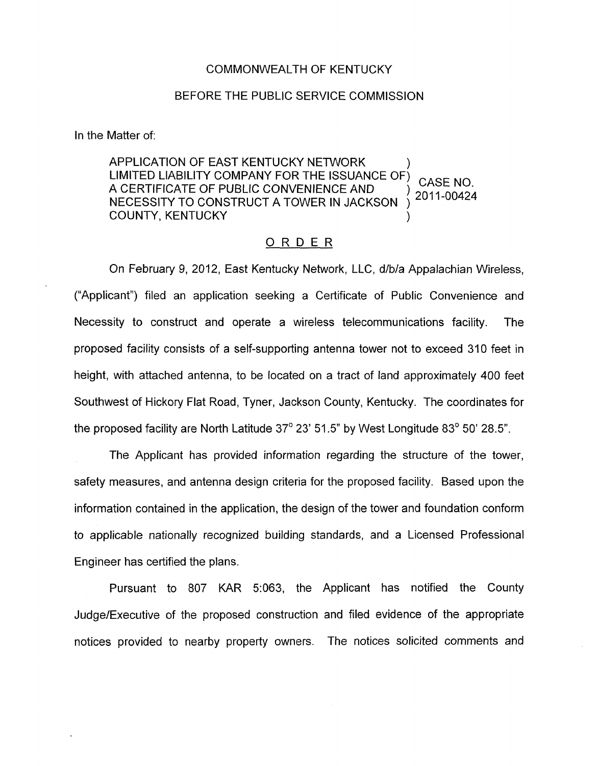## COMMONWEALTH OF KENTUCKY

## BEFORE THE PUBLIC SERVICE COMMISSION

In the Matter of:

APPLICATION OF EAST KENTUCKY NETWORK LIMITED LIABILITY COMPANY FOR THE ISSUANCE OF)  $\overline{C}$  a see NO. LIMITED LIABILITY COMPANY FOR THE ISSUANCE OF THE ASSUMING OF THE RESOLUTION OF THE RESOLUTION OF THE RESOLUTION OF THE RESOLUTION OF THE RESOLUTION OF THE RESOLUTION OF THE RESOLUTION OF THE RESOLUTION OF THE RESOLUTION O NECESSITY TO CONSTRUCT A TOWER IN JACKSON ) COUNTY, KENTUCKY

## ORDER

On February 9, 2012, East Kentucky Network, LLC, d/b/a Appalachian Wireless, ("Applicant") filed an application seeking a Certificate of Public Convenience and Necessity to construct and operate a wireless telecommunications facility. The proposed facility consists of a self-supporting antenna tower not to exceed 310 feet in height, with attached antenna, to be located on a tract of land approximately 400 feet Southwest of Hickory Flat Road, Tyner, Jackson County, Kentucky. The coordinates for the proposed facility are North Latitude  $37^{\circ}$  23' 51.5" by West Longitude 83 $^{\circ}$  50' 28.5".

The Applicant has provided information regarding the structure of the tower, safety measures, and antenna design criteria for the proposed facility. Based upon the information contained in the application, the design of the tower and foundation conform to applicable nationally recognized building standards, and a Licensed Professional Engineer has certified the plans.

Pursuant to 807 KAR 5:063, the Applicant has notified the County Judge/Executive of the proposed construction and filed evidence of the appropriate notices provided to nearby property owners. The notices solicited comments and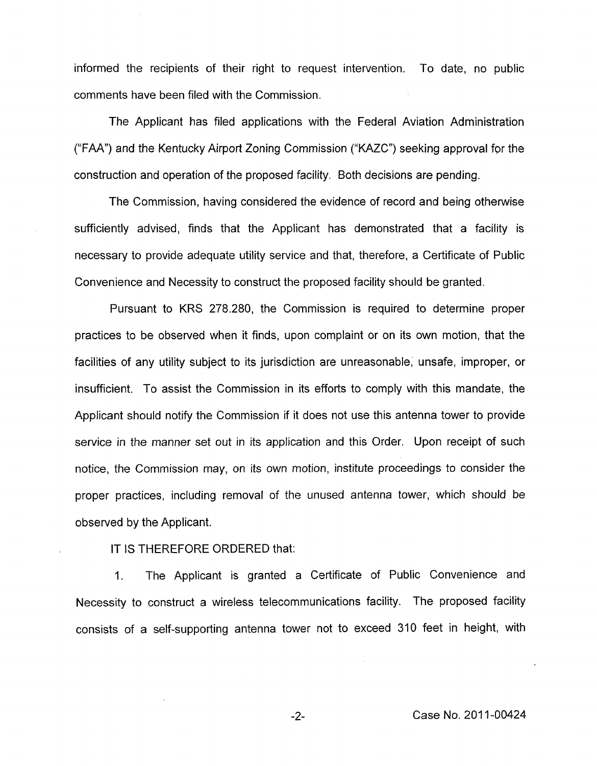informed the recipients of their right to request intervention. To date, no public comments have been filed with the Commission.

The Applicant has filed applications with the Federal Aviation Administration ("FAA") and the Kentucky Airport Zoning Commission ("KAZC") seeking approval for the construction and operation of the proposed facility. Both decisions are pending.

The Commission, having considered the evidence of record and being otherwise sufficiently advised, finds that the Applicant has demonstrated that a facility is necessary to provide adequate utility service and that, therefore, a Certificate of Public Convenience and Necessity to construct the proposed facility should be granted.

Pursuant to KRS 278.280, the Commission is required to determine proper practices to be observed when it finds, upon complaint or on its own motion, that the facilities of any utility subject to its jurisdiction are unreasonable, unsafe, improper, or insufficient. To assist the Commission in its efforts to comply with this mandate, the Applicant should notify the Commission if it does not use this antenna tower to provide service in the manner set out in its application and this Order. Upon receipt of such notice, the Commission may, on its own motion, institute proceedings to consider the proper practices, including removal of the unused antenna tower, which should be observed by the Applicant.

IT IS THEREFORE ORDERED that:

1. The Applicant is granted a Certificate of Public Convenience and Necessity to construct a wireless telecommunications facility. The proposed facility consists of a self-supporting antenna tower not to exceed 310 feet in height, with

-2- Case No. 201 1-00424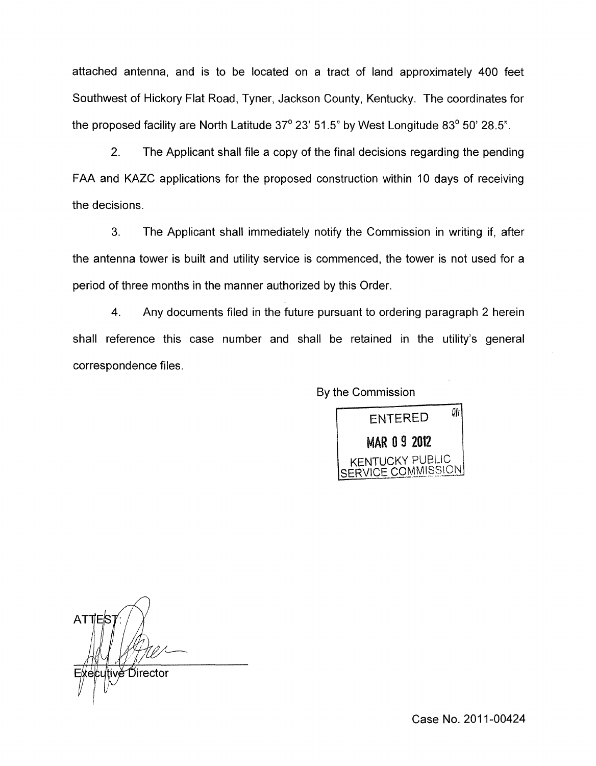attached antenna, and is to be located on a tract of land approximately 400 feet Southwest of Hickory Flat Road, Tyner, Jackson County, Kentucky. The coordinates for the proposed facility are North Latitude  $37^{\circ}$  23' 51.5" by West Longitude 83 $^{\circ}$  50' 28.5".

2. The Applicant shall file a copy of the final decisions regarding the pending FAA and KAZC applications for the proposed construction within 10 days of receiving the decisions.

3. The Applicant shall immediately notify the Commission in writing if, after the antenna tower is built and utility service is commenced, the tower is not used for a period of three months in the manner authorized by this Order.

4. Any documents filed in the future pursuant to ordering paragraph 2 herein shall reference this case number and shall be retained in the utility's general correspondence files .



 $\lambda$ ATTES :⁄kécutivě Director

Case No. 2011-00424